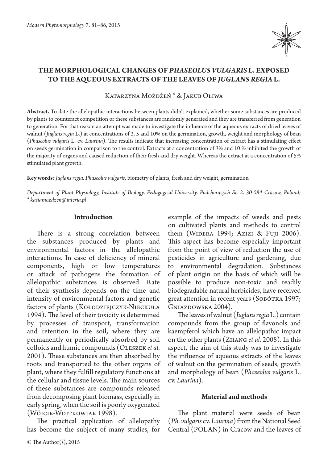

# **The morphological changes of** *Phaseolus vulgaris* **L. exposed to the aqueous extracts of the leaves of** *Juglans regia* **L.**

Katarzyna Możdżeń \* & Jakub Oliwa

**Abstract.** To date the allelopathic interactions between plants didn't explained, whether some substances are produced by plants to counteract competition or these substances are randomly generated and they are transferred from generation to generation. For that reason an attempt was made to investigate the influence of the aqueous extracts of dried leaves of walnut (*Juglans regia* L.) at concentrations of 3, 5 and 10% on the germination, growth, weight and morphology of bean (*Phaseolus vulgaris* L. cv. *Laurina*). The results indicate that increasing concentration of extract has a stimulating effect on seeds germination in comparison to the control. Extracts at a concentration of 3% and 10 % inhibited the growth of the majority of organs and caused reduction of their fresh and dry weight. Whereas the extract at a concentration of 5% stimulated plant growth.

**Key words:** *Juglans regia, Phaseolus vulgaris*, biometry of plants, fresh and dry weight, germination

*Department of Plant Physiology, Institute of Biology, Pedagogical University, Podchorążych St. 2, 30-084 Cracow, Poland; \* kasiamozdzen@interia.pl*

# **Introduction**

There is a strong correlation between the substances produced by plants and environmental factors in the allelopathic interactions. In case of deficiency of mineral components, high or low temperatures or attack of pathogens the formation of allelopathic substances is observed. Rate of their synthesis depends on the time and intensity of environmental factors and genetic factors of plants (Kołodziejczyk-Nieckuła 1994). The level of their toxicity is determined by processes of transport, transformation and retention in the soil, where they are permanently or periodically absorbed by soil colloids and humic compounds (Oleszek *et al.* 2001). These substances are then absorbed by roots and transported to the other organs of plant, where they fulfill regulatory functions at the cellular and tissue levels. The main sources of these substances are compounds released from decomposing plant biomass, especially in early spring, when the soil is poorly oxygenated (Wójcik-Wojtkowiak 1998).

The practical application of allelopathy has become the subject of many studies, for

© The Author(s), 2015

example of the impacts of weeds and pests on cultivated plants and methods to control them (Widera 1994; Azizi & Fuji 2006). This aspect has become especially important from the point of view of reduction the use of pesticides in agriculture and gardening, due to environmental degradation. Substances of plant origin on the basis of which will be possible to produce non-toxic and readily biodegradable natural herbicides, have received great attention in recent years (SOBÓTKA 1997; Gniazdowska 2004).

The leaves of walnut (*Juglans regia* L.) contain compounds from the group of flavonols and kaempferol which have an allelopathic impact on the other plants (Zhang *et al.* 2008). In this aspect, the aim of this study was to investigate the influence of aqueous extracts of the leaves of walnut on the germination of seeds, growth and morphology of bean (*Phaseolus vulgaris* L. cv. *Laurina*).

## **Material and methods**

The plant material were seeds of bean (*Ph. vulgaris* cv. *Laurina*) from the National Seed Central (POLAN) in Cracow and the leaves of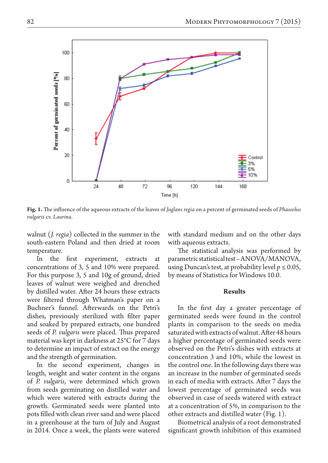

**Fig. 1.** The influence of the aqueous extracts of the leaves of *Juglans regia* on a percent of germinated seeds of *Phaseolus vulgaris* cv. *Laurina*.

walnut (*J. regia*) collected in the summer in the south-eastern Poland and then dried at room temperature.

In the first experiment, extracts at concentrations of 3, 5 and 10% were prepared. For this purpose 3, 5 and 10g of ground, dried leaves of walnut were weighed and drenched by distilled water. After 24 hours these extracts were filtered through Whatman's paper on a Buchner's funnel. Afterwards on the Petri's dishes, previously sterilized with filter paper and soaked by prepared extracts, one hundred seeds of *P. vulgaris* were placed. Thus prepared material was kept in darkness at 25°C for 7 days to determine an impact of extract on the energy and the strength of germination.

In the second experiment, changes in length, weight and water content in the organs of *P. vulgaris*, were determined which grown from seeds germinating on distilled water and which were watered with extracts during the growth. Germinated seeds were planted into pots filled with clean river sand and were placed in a greenhouse at the turn of July and August in 2014. Once a week, the plants were watered with standard medium and on the other days with aqueous extracts.

The statistical analysis was performed by parametric statistical test – ANOVA/MANOVA, using Duncan's test, at probability level  $p \leq 0.05$ , by means of Statistica for Windows 10.0.

#### **Results**

In the first day a greater percentage of germinated seeds were found in the control plants in comparison to the seeds on media saturated with extracts of walnut. After 48 hours a higher percentage of germinated seeds were observed on the Petri's dishes with extracts at concentration 3 and 10%, while the lowest in the control one. In the following days there was an increase in the number of germinated seeds in each of media with extracts. After 7 days the lowest percentage of germinated seeds was observed in case of seeds watered with extract at a concentration of 5%, in comparison to the other extracts and distilled water (Fig. 1).

Biometrical analysis of a root demonstrated significant growth inhibition of this examined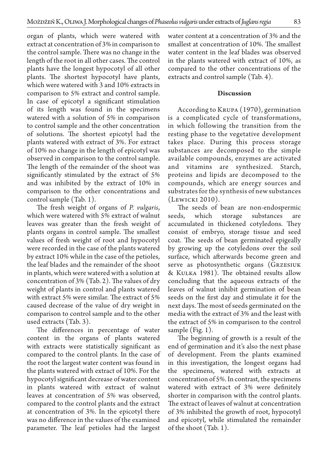organ of plants, which were watered with extract at concentration of 3% in comparison to the control sample. There was no change in the length of the root in all other cases. The control plants have the longest hypocotyl of all other plants. The shortest hypocotyl have plants, which were watered with 3 and 10% extracts in comparison to 5% extract and control sample. In case of epicotyl a significant stimulation of its length was found in the specimens watered with a solution of 5% in comparison to control sample and the other concentration of solutions. The shortest epicotyl had the plants watered with extract of 3%. For extract of 10% no change in the length of epicotyl was observed in comparison to the control sample. The length of the remainder of the shoot was significantly stimulated by the extract of 5% and was inhibited by the extract of 10% in comparison to the other concentrations and control sample (Tab. 1).

The fresh weight of organs of *P. vulgaris*, which were watered with 5% extract of walnut leaves was greater than the fresh weight of plants organs in control sample. The smallest values of fresh weight of root and hypocotyl were recorded in the case of the plants watered by extract 10% while in the case of the petioles, the leaf blades and the remainder of the shoot in plants, which were watered with a solution at concentration of 3% (Tab. 2). The values of dry weight of plants in control and plants watered with extract 5% were similar. The extract of 5% caused decrease of the value of dry weight in comparison to control sample and to the other used extracts (Tab. 3).

The differences in percentage of water content in the organs of plants watered with extracts were statistically significant as compared to the control plants. In the case of the root the largest water content was found in the plants watered with extract of 10%. For the hypocotyl significant decrease of water content in plants watered with extract of walnut leaves at concentration of 5% was observed, compared to the control plants and the extract at concentration of 3%. In the epicotyl there was no difference in the values of the examined parameter. The leaf petioles had the largest water content at a concentration of 3% and the smallest at concentration of 10%. The smallest water content in the leaf blades was observed in the plants watered with extract of 10%, as compared to the other concentrations of the extracts and control sample (Tab. 4).

### **Discussion**

According to Krupa (1970), germination is a complicated cycle of transformations, in which following the transition from the resting phase to the vegetative development takes place. During this process storage substances are decomposed to the simple available compounds, enzymes are activated and vitamins are synthesized. Starch, proteins and lipids are decomposed to the compounds, which are energy sources and substrates for the synthesis of new substances (Lewicki 2010).

The seeds of bean are non-endospermic seeds, which storage substances are accumulated in thickened cotyledons. They consist of embryo, storage tissue and seed coat. The seeds of bean germinated epigeally by growing up the cotyledons over the soil surface, which afterwards become green and serve as photosynthetic organs (Grzesiuk & Kulka 1981). The obtained results allow concluding that the aqueous extracts of the leaves of walnut inhibit germination of bean seeds on the first day and stimulate it for the next days. The most of seeds germinated on the media with the extract of 3% and the least with the extract of 5% in comparison to the control sample (Fig. 1).

The beginning of growth is a result of the end of germination and it's also the next phase of development. From the plants examined in this investigation, the longest organs had the specimens, watered with extracts at concentration of 5%. In contrast, the specimens watered with extract of 3% were definitely shorter in comparison with the control plants. The extract of leaves of walnut at concentration of 3% inhibited the growth of root, hypocotyl and epicotyl, while stimulated the remainder of the shoot (Tab. 1).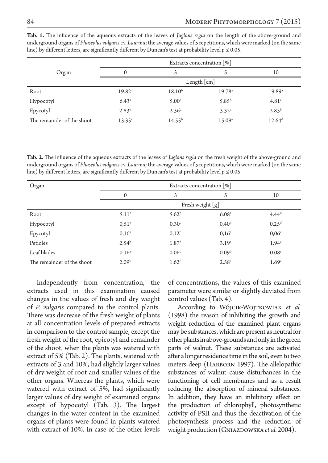|                            | Extracts concentration $\lceil \% \rceil$ |                   |                    |                   |
|----------------------------|-------------------------------------------|-------------------|--------------------|-------------------|
| Organ                      | $\Omega$                                  | 3                 |                    | 10                |
|                            | Length [cm]                               |                   |                    |                   |
| Root                       | $19.82^{\circ}$                           | $18.10^{b}$       | 19.78 <sup>a</sup> | 19.89a            |
| Hypocotyl                  | $6.43^{\circ}$                            | 5.00 <sup>c</sup> | 5.85 <sup>b</sup>  | 4.81 <sup>c</sup> |
| Epycotyl                   | $2.83^{b}$                                | 2.36 <sup>c</sup> | 3.32 <sup>a</sup>  | $2.83^{b}$        |
| The remainder of the shoot | 13.35 <sup>c</sup>                        | $14.55^{b}$       | 15.09 <sup>a</sup> | $12.64^d$         |

**Tab. 1.** The influence of the aqueous extracts of the leaves of *Juglans regia* on the length of the above-ground and underground organs of *Phaseolus vulgaris* cv. *Laurina*; the average values of 5 repetitions, which were marked (on the same line) by different letters, are significantly different by Duncan's test at probability level *p* ≤ 0.05.

**Tab. 2.** The influence of the aqueous extracts of the leaves of *Juglans regia* on the fresh weight of the above-ground and underground organs of *Phaseolus vulgaris* cv. *Laurina*; the average values of 5 repetitions, which were marked (on the same line) by different letters, are significantly different by Duncan's test at probability level *p* ≤ 0.05.

| Organ                      | Extracts concentration $\lceil \% \rceil$ |                    |                   |                   |
|----------------------------|-------------------------------------------|--------------------|-------------------|-------------------|
|                            | $\mathbf{0}$                              | 3                  | 5                 | 10                |
|                            |                                           | Fresh weight $[g]$ |                   |                   |
| Root                       | 5.11 <sup>c</sup>                         | 5.62 <sup>b</sup>  | 6.08 <sup>a</sup> | $4.44^d$          |
| Hypocotyl                  | $0,51^{\circ}$                            | $0,30^\circ$       | $0,40^{\rm b}$    | $0,25^d$          |
| Epycotyl                   | $0,16^{\circ}$                            | $0,12^b$           | $0,16^{\circ}$    | 0,06 <sup>c</sup> |
| Petioles                   | $2.54^{b}$                                | 1.87 <sup>d</sup>  | 3.19a             | 1.94 <sup>c</sup> |
| Leaf blades                | $0.16^{\circ}$                            | 0.06 <sup>d</sup>  | 0.09 <sup>b</sup> | 0.08 <sup>c</sup> |
| The remainder of the shoot | 2.09 <sup>b</sup>                         | 1.62 <sup>d</sup>  | 2.58 <sup>a</sup> | 1.69 <sup>c</sup> |

Independently from concentration, the extracts used in this examination caused changes in the values of fresh and dry weight of *P. vulgaris* compared to the control plants. There was decrease of the fresh weight of plants at all concentration levels of prepared extracts in comparison to the control sample, except the fresh weight of the root, epicotyl and remainder of the shoot, when the plants was watered with extract of 5% (Tab. 2). The plants, watered with extracts of 3 and 10%, had slightly larger values of dry weight of root and smaller values of the other organs. Whereas the plants, which were watered with extract of 5%, had significantly larger values of dry weight of examined organs except of hypocotyl (Tab. 3). The largest changes in the water content in the examined organs of plants were found in plants watered with extract of 10%. In case of the other levels of concentrations, the values of this examined parameter were similar or slightly deviated from control values (Tab. 4).

According to Wójcik-Woj*tkowiak et al.* (1998) the reason of inhibiting the growth and weight reduction of the examined plant organs may be substances, which are present as neutral for other plants in above-grounds and only in the green parts of walnut. These substances are activated after a longer residence time in the soil, even to two meters deep (Harborn 1997). The allelopathic substances of walnut cause disturbances in the functioning of cell membranes and as a result reducing the absorption of mineral substances. In addition, they have an inhibitory effect on the production of chlorophyll, photosynthetic activity of PSII and thus the deactivation of the photosynthesis process and the reduction of weight production (Gniazdowska *et al.* 2004).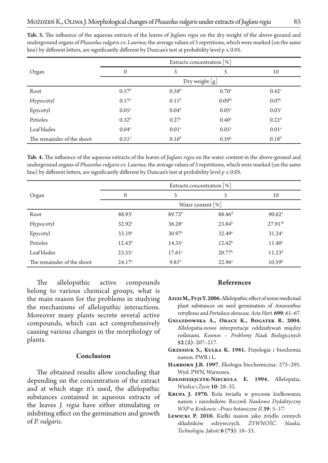|                            | Extracts concentration [%] |                   |                     |                   |  |
|----------------------------|----------------------------|-------------------|---------------------|-------------------|--|
| Organ                      | $\mathbf{0}$               | 3                 |                     | 10                |  |
|                            | Dry weight [g]             |                   |                     |                   |  |
| Root                       | 0.57 <sup>b</sup>          | 0.58 <sup>b</sup> | $0.70$ <sup>a</sup> | $0.42^{\circ}$    |  |
| Hypocotyl                  | 0.17 <sup>a</sup>          | $0.11^{b}$        | $0.09^{bc}$         | 0.07 <sup>c</sup> |  |
| Epycotyl                   | $0.05^{\rm a}$             | 0.04 <sup>b</sup> | $0.05^{\rm a}$      | 0.03 <sup>c</sup> |  |
| Petioles                   | $0.32^{b}$                 | 0.27 <sup>c</sup> | $0.40^{\circ}$      | 0.22 <sup>d</sup> |  |
| Leaf blades                | 0.04 <sup>a</sup>          | 0.01 <sup>a</sup> | $0.05^{\rm a}$      | 0.01 <sup>a</sup> |  |
| The remainder of the shoot | $0.51$ <sup>a</sup>        | 0.16 <sup>b</sup> | 0.59a               | 0.18 <sup>b</sup> |  |

**Tab. 3.** The influence of the aqueous extracts of the leaves of *Juglans regia* on the dry weight of the above-ground and underground organs of *Phaseolus vulgaris* cv. *Laurina*; the average values of 5 repetitions, which were marked (on the same line) by different letters, are significantly different by Duncan's test at probability level *p* ≤ 0.05.

**Tab. 4.** The influence of the aqueous extracts of the leaves of *Juglans regia* on the water content in the above-ground and underground organs of *Phaseolus vulgaris* cv. *Laurina*; the average values of 5 repetitions, which were marked (on the same line) by different letters, are significantly different by Duncan's test at probability level *p* ≤ 0.05.

|                            | Extracts concentration $[\%]$ |                      |                    |                      |  |
|----------------------------|-------------------------------|----------------------|--------------------|----------------------|--|
| Organ                      | $\mathbf{0}$                  | 3                    |                    | 10                   |  |
|                            | Water content [%]             |                      |                    |                      |  |
| Root                       | 88.93 <sup>c</sup>            | 89.72 <sup>b</sup>   | 88.46 <sup>d</sup> | $90.62$ <sup>a</sup> |  |
| Hypocotyl                  | $32.92^a$                     | 36.28 <sup>a</sup>   | $23.84^{b}$        | $27.91^{ab}$         |  |
| Epycotyl                   | 33.19 <sup>a</sup>            | $30.97$ <sup>a</sup> | $32.49^{\circ}$    | $31.24$ <sup>a</sup> |  |
| Petioles                   | $12.43^{b}$                   | $14.35^{\circ}$      | $12.42^{b}$        | 11.40 <sup>c</sup>   |  |
| Leaf blades                | $23.55^{\circ}$               | 17.61 <sup>c</sup>   | 20.77 <sup>b</sup> | 11.23 <sup>d</sup>   |  |
| The remainder of the shoot | 24.17 <sup>a</sup>            | 9.81 <sup>b</sup>    | $22.96^{\circ}$    | 10.59 <sup>b</sup>   |  |

The allelopathic active compounds belong to various chemical groups, what is the main reason for the problems in studying the mechanisms of allelopathic interactions. Moreover many plants secrete several active compounds, which can act comprehensively causing various changes in the morphology of plants.

### **Conclusion**

The obtained results allow concluding that depending on the concentration of the extract and at which stage it's used, the allelopathic substances contained in aqueous extracts of the leaves *J. regia* have either stimulating or inhibiting effect on the germination and growth of *P. vulgaris*.

## **References**

- **Azizi M., Fuji Y. 2006.** Allelopathic effect of some medicinal plant substances on seed germination of *Amaranthus retroflexus* and *Portulaca oleraceae. Acta Hort.* **699**: 61–67.
- **Gniazdowska A., Oracz K., Bogatek R. 2004.**  Allelopatia-nowe interpretacje oddziaływań między roślinami. *Kosmos – Problemy Nauk Biologicznych*  **52 (2)**: 207–217.
- **Grzesiuk S., Kulka K. 1981.** Fizjologia i biochemia nasion. PWR i L.
- **Harborn J.B. 1997.** Ekologia biochemiczna: 275–291. Wyd. PWN, Warszawa.
- **Kołodziejczyk-Nieckuła E. 1994.** Allelopatia. *Wiedza i Życie* **10**: 28–32.
- **Krupa J. 1970.** Rola światła w procesie kiełkowania nasion i zarodników. *Rocznik Naukowo Dydaktyczny WSP w Krakowie –Prace botaniczne II* **39**: 5–17.
- **Lewicki P. 2010.** Kiełki nasion jako źródło cennych składników odżywczych. *ŻYWNOŚĆ. Nauka. Technologia. Jakość* **6 (73)**: 18–33.